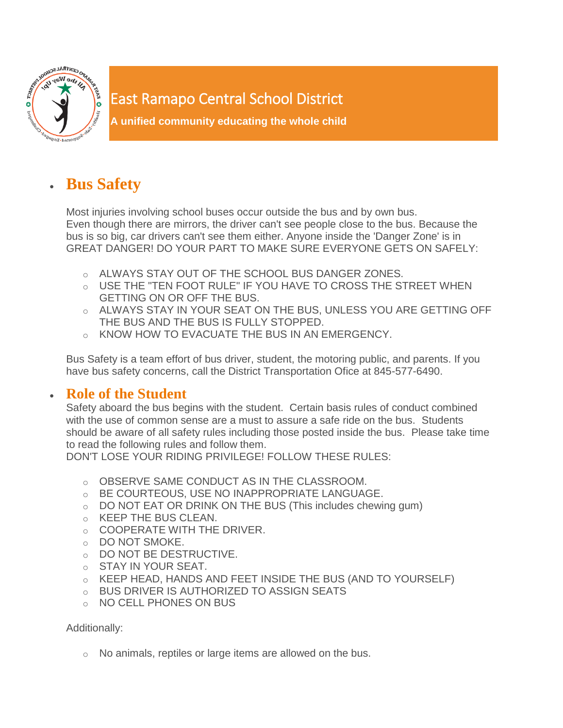

## East Ramapo Central School District

**A unified community educating the whole child**

## **Bus Safety**

Most injuries involving school buses occur outside the bus and by own bus. Even though there are mirrors, the driver can't see people close to the bus. Because the bus is so big, car drivers can't see them either. Anyone inside the 'Danger Zone' is in GREAT DANGER! DO YOUR PART TO MAKE SURE EVERYONE GETS ON SAFELY:

- o ALWAYS STAY OUT OF THE SCHOOL BUS DANGER ZONES.
- o USE THE "TEN FOOT RULE" IF YOU HAVE TO CROSS THE STREET WHEN GETTING ON OR OFF THE BUS.
- o ALWAYS STAY IN YOUR SEAT ON THE BUS, UNLESS YOU ARE GETTING OFF THE BUS AND THE BUS IS FULLY STOPPED.
- o KNOW HOW TO EVACUATE THE BUS IN AN EMERGENCY.

Bus Safety is a team effort of bus driver, student, the motoring public, and parents. If you have bus safety concerns, call the District Transportation Ofice at 845-577-6490.

## **Role of the Student**

Safety aboard the bus begins with the student. Certain basis rules of conduct combined with the use of common sense are a must to assure a safe ride on the bus. Students should be aware of all safety rules including those posted inside the bus. Please take time to read the following rules and follow them.

DON'T LOSE YOUR RIDING PRIVILEGE! FOLLOW THESE RULES:

- o OBSERVE SAME CONDUCT AS IN THE CLASSROOM.
- o BE COURTEOUS, USE NO INAPPROPRIATE LANGUAGE.
- $\circ$  DO NOT EAT OR DRINK ON THE BUS (This includes chewing gum)
- o KEEP THE BUS CLEAN.
- o COOPERATE WITH THE DRIVER.
- o DO NOT SMOKE.
- o DO NOT BE DESTRUCTIVE.
- o STAY IN YOUR SEAT.
- o KEEP HEAD, HANDS AND FEET INSIDE THE BUS (AND TO YOURSELF)
- o BUS DRIVER IS AUTHORIZED TO ASSIGN SEATS
- o NO CELL PHONES ON BUS

Additionally:

o No animals, reptiles or large items are allowed on the bus.